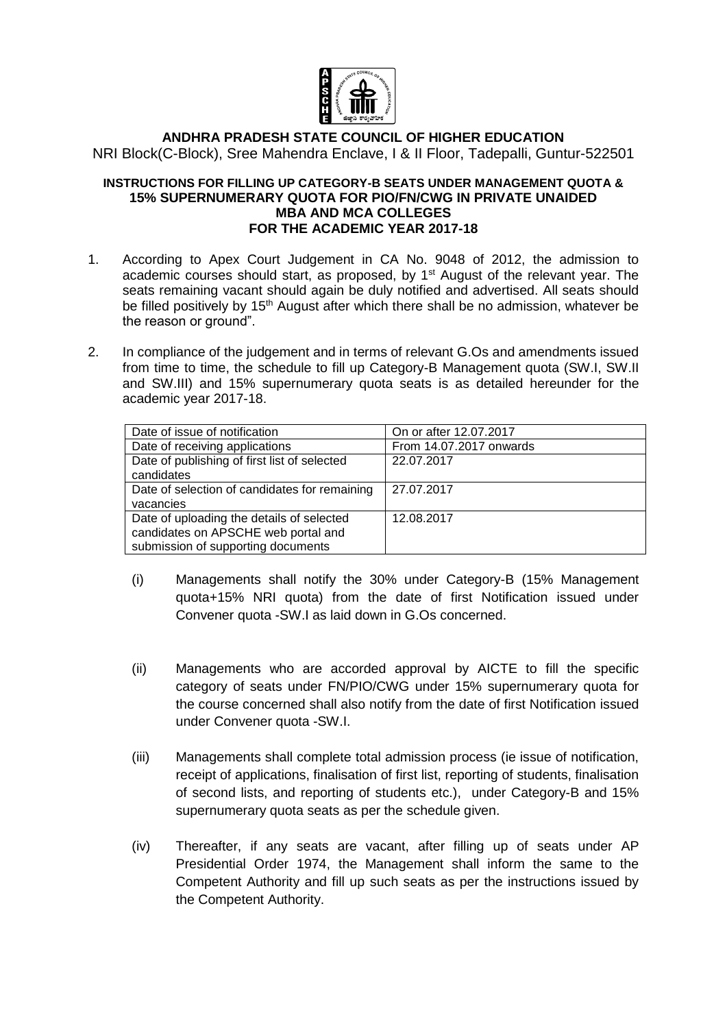

## **ANDHRA PRADESH STATE COUNCIL OF HIGHER EDUCATION** NRI Block(C-Block), Sree Mahendra Enclave, I & II Floor, Tadepalli, Guntur-522501

## **INSTRUCTIONS FOR FILLING UP CATEGORY-B SEATS UNDER MANAGEMENT QUOTA & 15% SUPERNUMERARY QUOTA FOR PIO/FN/CWG IN PRIVATE UNAIDED MBA AND MCA COLLEGES FOR THE ACADEMIC YEAR 2017-18**

- 1. According to Apex Court Judgement in CA No. 9048 of 2012, the admission to academic courses should start, as proposed, by 1<sup>st</sup> August of the relevant year. The seats remaining vacant should again be duly notified and advertised. All seats should be filled positively by 15<sup>th</sup> August after which there shall be no admission, whatever be the reason or ground".
- 2. In compliance of the judgement and in terms of relevant G.Os and amendments issued from time to time, the schedule to fill up Category-B Management quota (SW.I, SW.II and SW.III) and 15% supernumerary quota seats is as detailed hereunder for the academic year 2017-18.

| Date of issue of notification                                                                                          | On or after 12.07.2017  |
|------------------------------------------------------------------------------------------------------------------------|-------------------------|
| Date of receiving applications                                                                                         | From 14.07.2017 onwards |
| Date of publishing of first list of selected<br>candidates                                                             | 22.07.2017              |
| Date of selection of candidates for remaining<br>vacancies                                                             | 27.07.2017              |
| Date of uploading the details of selected<br>candidates on APSCHE web portal and<br>submission of supporting documents | 12.08.2017              |

- (i) Managements shall notify the 30% under Category-B (15% Management quota+15% NRI quota) from the date of first Notification issued under Convener quota -SW.I as laid down in G.Os concerned.
- (ii) Managements who are accorded approval by AICTE to fill the specific category of seats under FN/PIO/CWG under 15% supernumerary quota for the course concerned shall also notify from the date of first Notification issued under Convener quota -SW.I.
- (iii) Managements shall complete total admission process (ie issue of notification, receipt of applications, finalisation of first list, reporting of students, finalisation of second lists, and reporting of students etc.), under Category-B and 15% supernumerary quota seats as per the schedule given.
- (iv) Thereafter, if any seats are vacant, after filling up of seats under AP Presidential Order 1974, the Management shall inform the same to the Competent Authority and fill up such seats as per the instructions issued by the Competent Authority.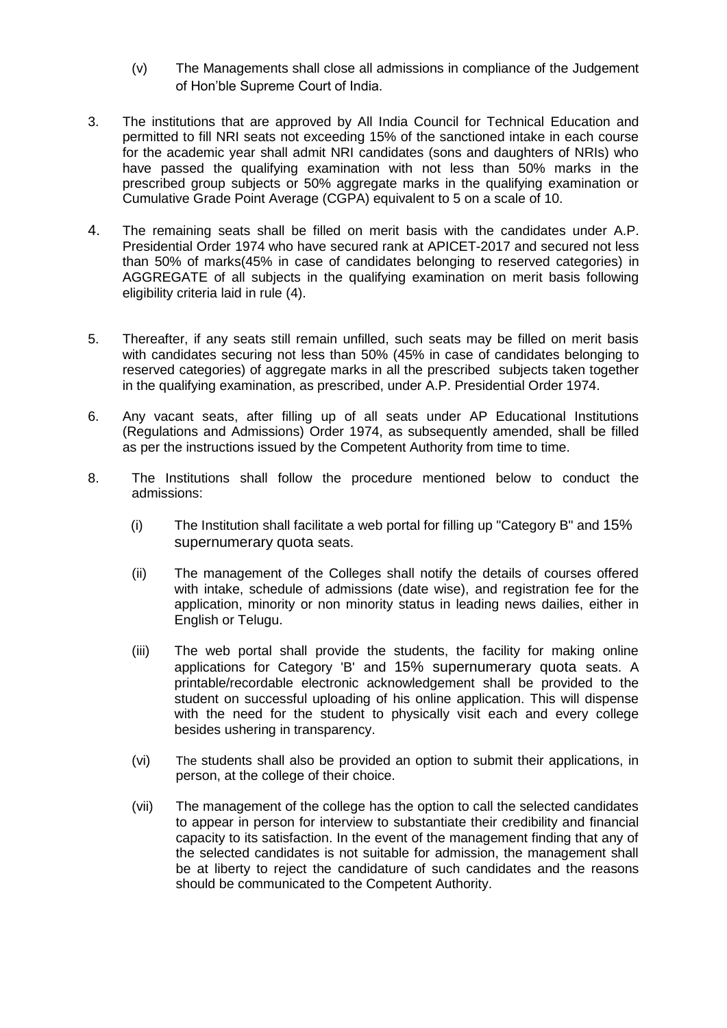- (v) The Managements shall close all admissions in compliance of the Judgement of Hon'ble Supreme Court of India.
- 3. The institutions that are approved by All India Council for Technical Education and permitted to fill NRI seats not exceeding 15% of the sanctioned intake in each course for the academic year shall admit NRI candidates (sons and daughters of NRIs) who have passed the qualifying examination with not less than 50% marks in the prescribed group subjects or 50% aggregate marks in the qualifying examination or Cumulative Grade Point Average (CGPA) equivalent to 5 on a scale of 10.
- 4. The remaining seats shall be filled on merit basis with the candidates under A.P. Presidential Order 1974 who have secured rank at APICET-2017 and secured not less than 50% of marks(45% in case of candidates belonging to reserved categories) in AGGREGATE of all subjects in the qualifying examination on merit basis following eligibility criteria laid in rule (4).
- 5. Thereafter, if any seats still remain unfilled, such seats may be filled on merit basis with candidates securing not less than 50% (45% in case of candidates belonging to reserved categories) of aggregate marks in all the prescribed subjects taken together in the qualifying examination, as prescribed, under A.P. Presidential Order 1974.
- 6. Any vacant seats, after filling up of all seats under AP Educational Institutions (Regulations and Admissions) Order 1974, as subsequently amended, shall be filled as per the instructions issued by the Competent Authority from time to time.
- 8. The Institutions shall follow the procedure mentioned below to conduct the admissions:
	- (i) The Institution shall facilitate a web portal for filling up "Category B" and 15% supernumerary quota seats.
	- (ii) The management of the Colleges shall notify the details of courses offered with intake, schedule of admissions (date wise), and registration fee for the application, minority or non minority status in leading news dailies, either in English or Telugu.
	- (iii) The web portal shall provide the students, the facility for making online applications for Category 'B' and 15% supernumerary quota seats. A printable/recordable electronic acknowledgement shall be provided to the student on successful uploading of his online application. This will dispense with the need for the student to physically visit each and every college besides ushering in transparency.
	- (vi) The students shall also be provided an option to submit their applications, in person, at the college of their choice.
	- (vii) The management of the college has the option to call the selected candidates to appear in person for interview to substantiate their credibility and financial capacity to its satisfaction. In the event of the management finding that any of the selected candidates is not suitable for admission, the management shall be at liberty to reject the candidature of such candidates and the reasons should be communicated to the Competent Authority.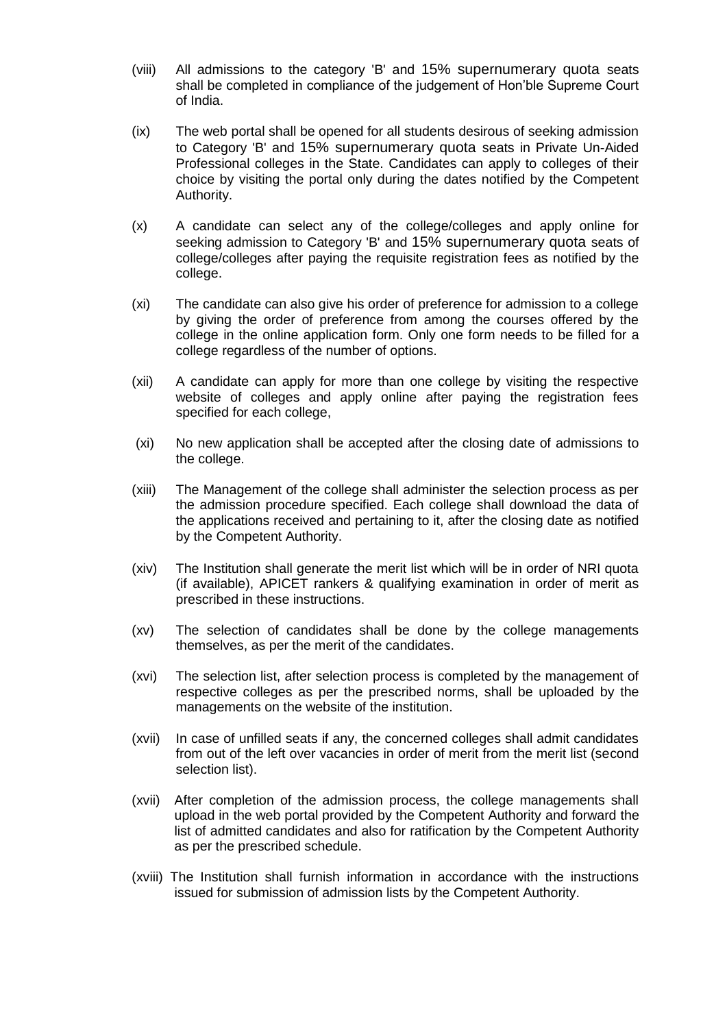- (viii) All admissions to the category 'B' and 15% supernumerary quota seats shall be completed in compliance of the judgement of Hon'ble Supreme Court of India.
- (ix) The web portal shall be opened for all students desirous of seeking admission to Category 'B' and 15% supernumerary quota seats in Private Un-Aided Professional colleges in the State. Candidates can apply to colleges of their choice by visiting the portal only during the dates notified by the Competent Authority.
- (x) A candidate can select any of the college/colleges and apply online for seeking admission to Category 'B' and 15% supernumerary quota seats of college/colleges after paying the requisite registration fees as notified by the college.
- (xi) The candidate can also give his order of preference for admission to a college by giving the order of preference from among the courses offered by the college in the online application form. Only one form needs to be filled for a college regardless of the number of options.
- (xii) A candidate can apply for more than one college by visiting the respective website of colleges and apply online after paying the registration fees specified for each college,
- (xi) No new application shall be accepted after the closing date of admissions to the college.
- (xiii) The Management of the college shall administer the selection process as per the admission procedure specified. Each college shall download the data of the applications received and pertaining to it, after the closing date as notified by the Competent Authority.
- (xiv) The Institution shall generate the merit list which will be in order of NRI quota (if available), APICET rankers & qualifying examination in order of merit as prescribed in these instructions.
- (xv) The selection of candidates shall be done by the college managements themselves, as per the merit of the candidates.
- (xvi) The selection list, after selection process is completed by the management of respective colleges as per the prescribed norms, shall be uploaded by the managements on the website of the institution.
- (xvii) In case of unfilled seats if any, the concerned colleges shall admit candidates from out of the left over vacancies in order of merit from the merit list (second selection list).
- (xvii) After completion of the admission process, the college managements shall upload in the web portal provided by the Competent Authority and forward the list of admitted candidates and also for ratification by the Competent Authority as per the prescribed schedule.
- (xviii) The Institution shall furnish information in accordance with the instructions issued for submission of admission lists by the Competent Authority.